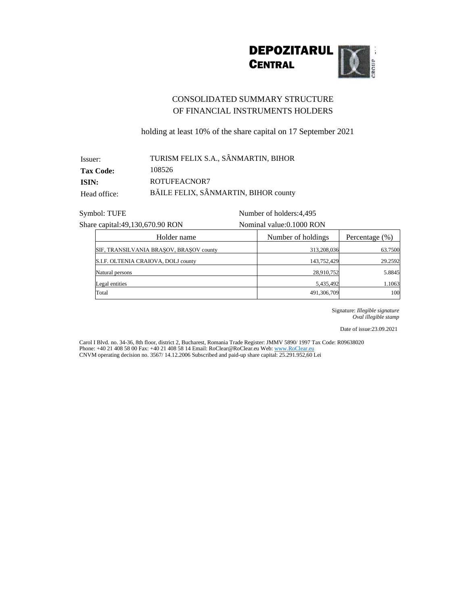

## CONSOLIDATED SUMMARY STRUCTURE OF FINANCIAL INSTRUMENTS HOLDERS

holding at least 10% of the share capital on 17 September 2021

| Issuer:          | TURISM FELIX S.A., SÂNMARTIN, BIHOR  |
|------------------|--------------------------------------|
| <b>Tax Code:</b> | 108526                               |
| ISIN:            | ROTUFEACNOR7                         |
| Head office:     | BĂILE FELIX, SÂNMARTIN, BIHOR county |

Symbol: TUFE Number of holders: 4,495

Share capital:49,130,670.90 RON Nominal value:0.1000 RON

| Holder name                             | Number of holdings | Percentage $(\% )$ |
|-----------------------------------------|--------------------|--------------------|
| SIF, TRANSILVANIA BRASOV, BRASOV county | 313,208,036        | 63.7500            |
| S.I.F. OLTENIA CRAIOVA, DOLJ county     | 143,752,429        | 29.2592            |
| Natural persons                         | 28,910,752         | 5.8845             |
| Legal entities                          | 5,435,492          | 1.1063             |
| Total                                   | 491,306,709        | 100                |

Signature: *Illegible signature Oval illegible stamp*

Date of issue:23.09.2021

Carol I Blvd. no. 34-36, 8th floor, district 2, Bucharest, Romania Trade Register: JMMV 5890/ 1997 Tax Code: R09638020 Phone: +40 21 408 58 00 Fax: +40 21 408 58 14 Email: RoClear@RoClear.eu Web: www.RoClear.eu CNVM operating decision no. 3567/ 14.12.2006 Subscribed and paid-up share capital: 25.291.952,60 Lei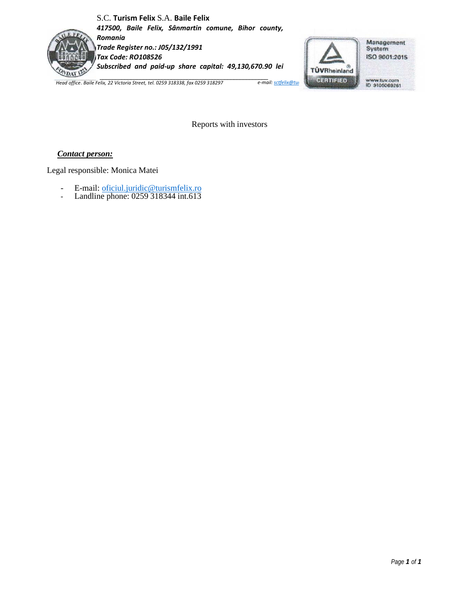## S.C. **Turism Felix** S.A. **Baile Felix**

*417500, Baile Felix, Sânmartin comune, Bihor county, Romania*



*Trade Register no.: J05/132/1991 Tax Code: RO108526 Subscribed and paid-up share capital: 49,130,670.90 lei*



Reports with investors

## *Contact person:*

Legal responsible: Monica Matei

- E-mail: [oficiul.juridic@turismfelix.ro](mailto:oficiul.juridic@turismfelix.ro)
- Landline phone: 0259 318344 int.613